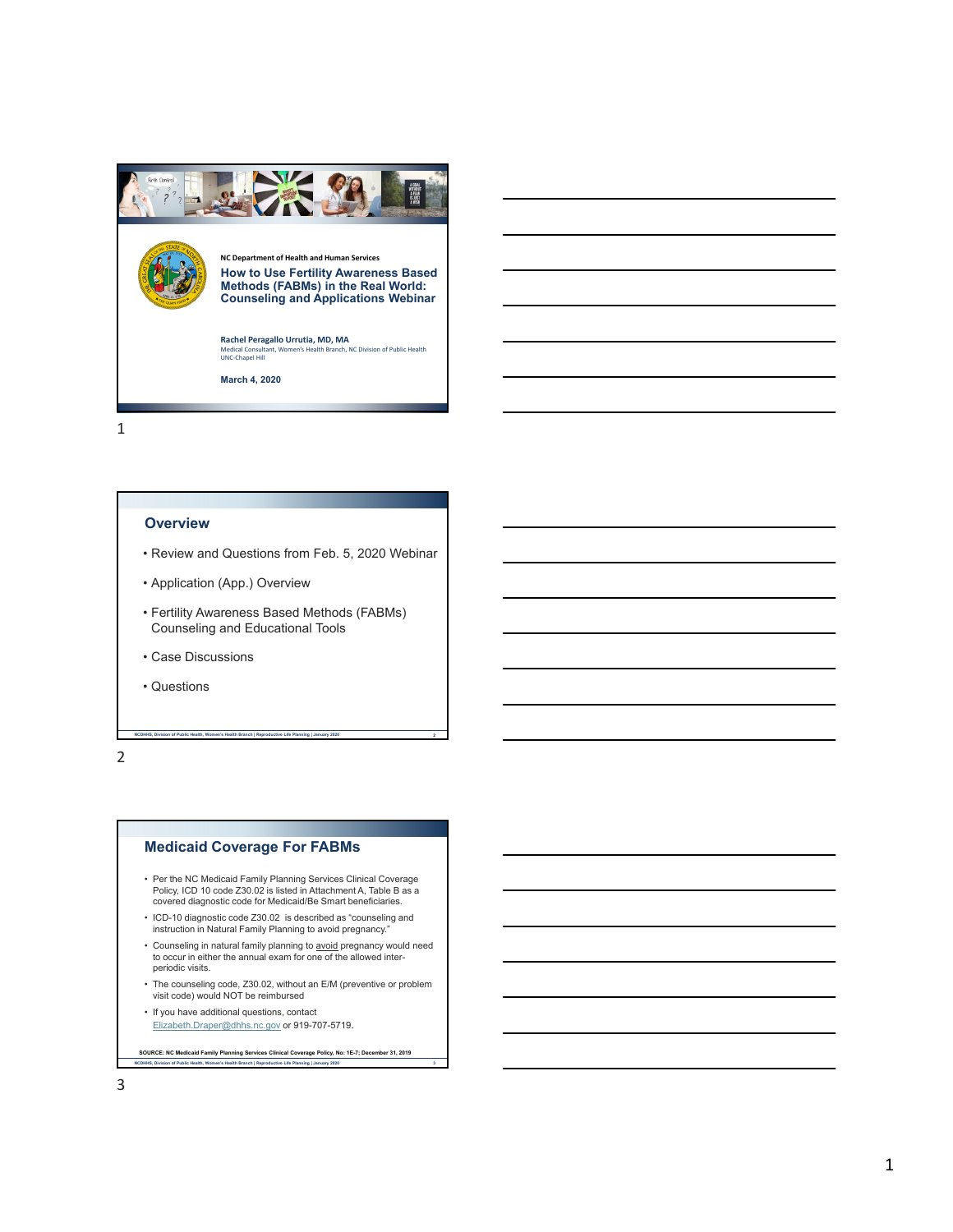

#### **Overview**

- Review and Questions from Feb. 5, 2020 Webinar
- Application (App.) Overview
- Fertility Awareness Based Methods (FABMs) Counseling and Educational Tools

**NCDHHS, Division of Public Health, Women's Health Branch | Reproductive Life Planning | January 2020 2**

- Case Discussions
- Questions

2

## **Medicaid Coverage For FABMs**

- Per the NC Medicaid Family Planning Services Clinical Coverage Policy, ICD 10 code Z30.02 is listed in Attachment A, Table B as a covered diagnostic code for Medicaid/Be Smart beneficiaries.
- ICD-10 diagnostic code Z30.02 is described as "counseling and instruction in Natural Family Planning to avoid pregnancy."
- Counseling in natural family planning to <u>avoid</u> pregnancy would need<br>to occur in either the annual exam for one of the allowed interperiodic visits.
- The counseling code, Z30.02, without an E/M (preventive or problem visit code) would NOT be reimbursed
- If you have additional questions, contact Elizabeth.Draper@dhhs.nc.gov or 919-707-5719.

**SOURCE: NC Medicaid Family Planning Services Clinical Coverage Policy, No: 1E-7; December 31, 2019**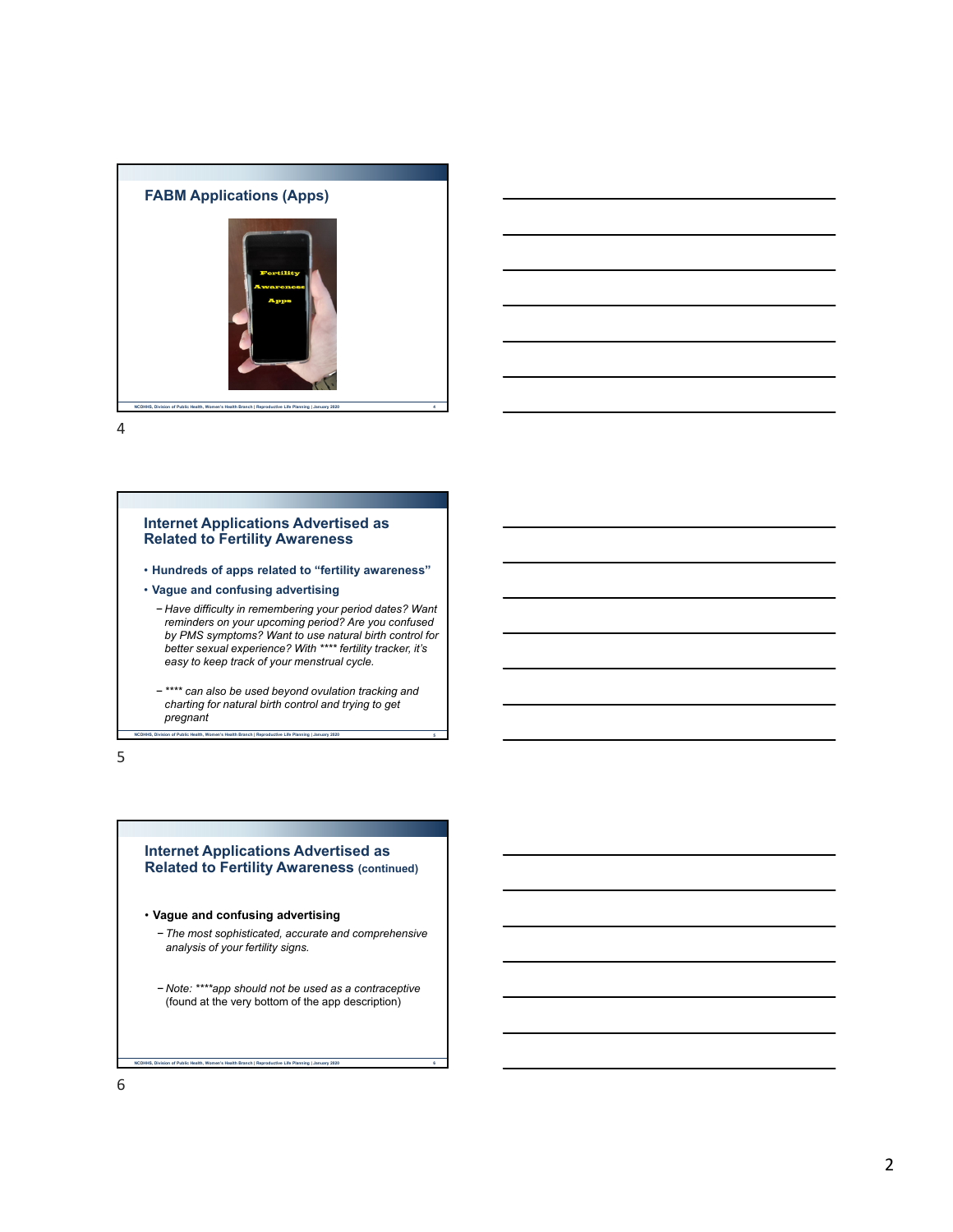



#### **Internet Applications Advertised as Related to Fertility Awareness**

- **Hundreds of apps related to "fertility awareness"**
- **Vague and confusing advertising**
	- − *Have difficulty in remembering your period dates? Want reminders on your upcoming period? Are you confused by PMS symptoms? Want to use natural birth control for better sexual experience? With \*\*\*\* fertility tracker, it's easy to keep track of your menstrual cycle.*
	- − *\*\*\*\* can also be used beyond ovulation tracking and charting for natural birth control and trying to get pregnant*

**NCDHHS, Division of Public Health, Women's Health Branch | Reproductive Life Planning | January 2020 5**

5

#### **Internet Applications Advertised as Related to Fertility Awareness (continued)**

- **Vague and confusing advertising**
	- − *The most sophisticated, accurate and comprehensive analysis of your fertility signs.*
	- − *Note: \*\*\*\*app should not be used as a contraceptive*  (found at the very bottom of the app description)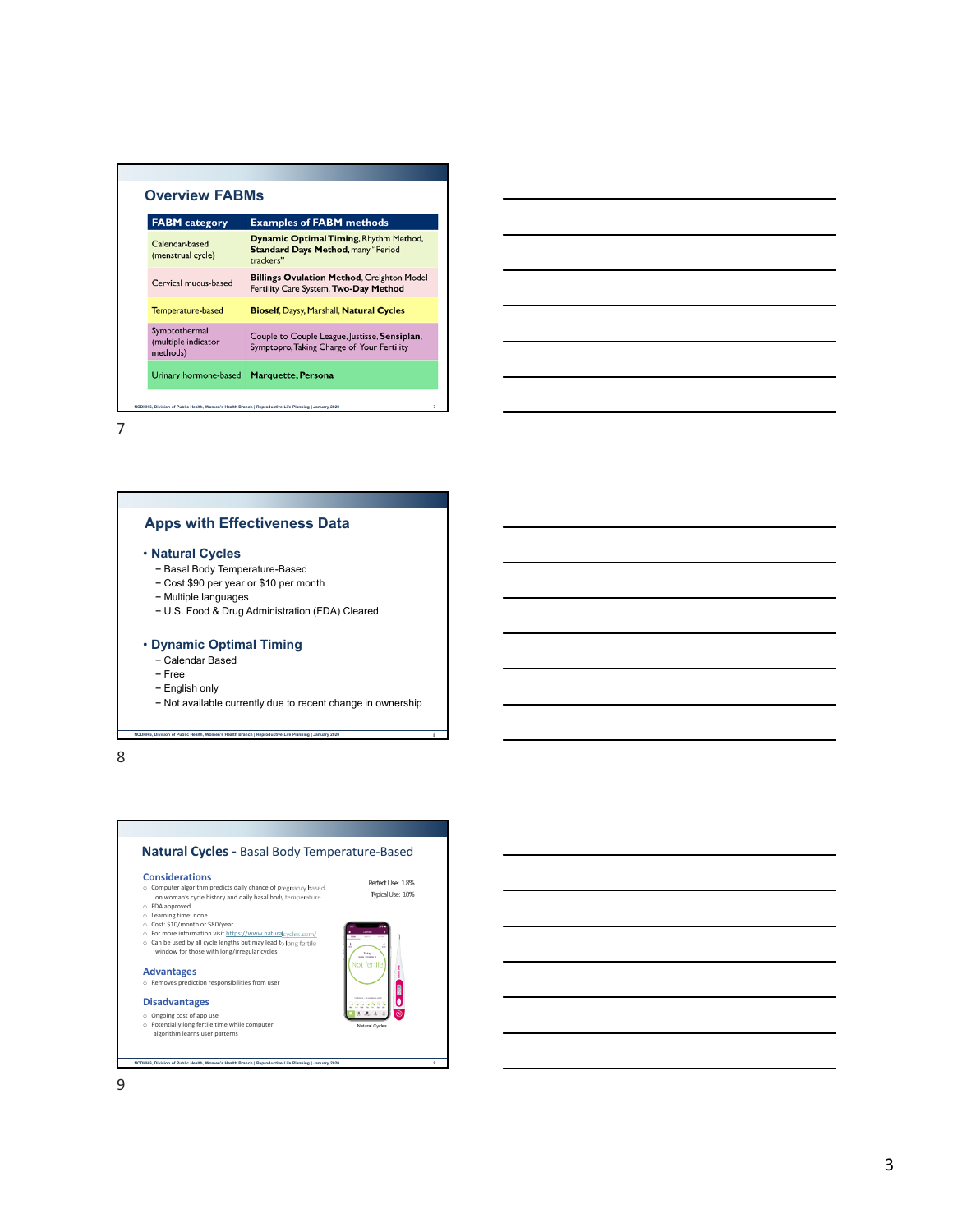| <b>FABM</b> category                             | <b>Examples of FABM methods</b>                                                                  |
|--------------------------------------------------|--------------------------------------------------------------------------------------------------|
| Calendar-based<br>(menstrual cycle)              | Dynamic Optimal Timing, Rhythm Method,<br><b>Standard Days Method, many "Period</b><br>trackers" |
| Cervical mucus-based                             | <b>Billings Ovulation Method, Creighton Model</b><br>Fertility Care System, Two-Day Method       |
| Temperature-based                                | <b>Bioself, Daysy, Marshall, Natural Cycles</b>                                                  |
| Symptothermal<br>(multiple indicator<br>methods) | Couple to Couple League, Justisse, Sensiplan,<br>Symptopro, Taking Charge of Your Fertility      |
| Urinary hormone-based                            | <b>Marquette, Persona</b>                                                                        |

# **Apps with Effectiveness Data**

#### • **Natural Cycles**

- − Basal Body Temperature-Based
- − Cost \$90 per year or \$10 per month
- − Multiple languages
- − U.S. Food & Drug Administration (FDA) Cleared

#### • **Dynamic Optimal Timing**

- − Calendar Based
- − Free
- − English only
- − Not available currently due to recent change in ownership

**NCDHHS, Division of Public Health, Women's Health Branch | Reproductive Life Planning | January 2020 8**

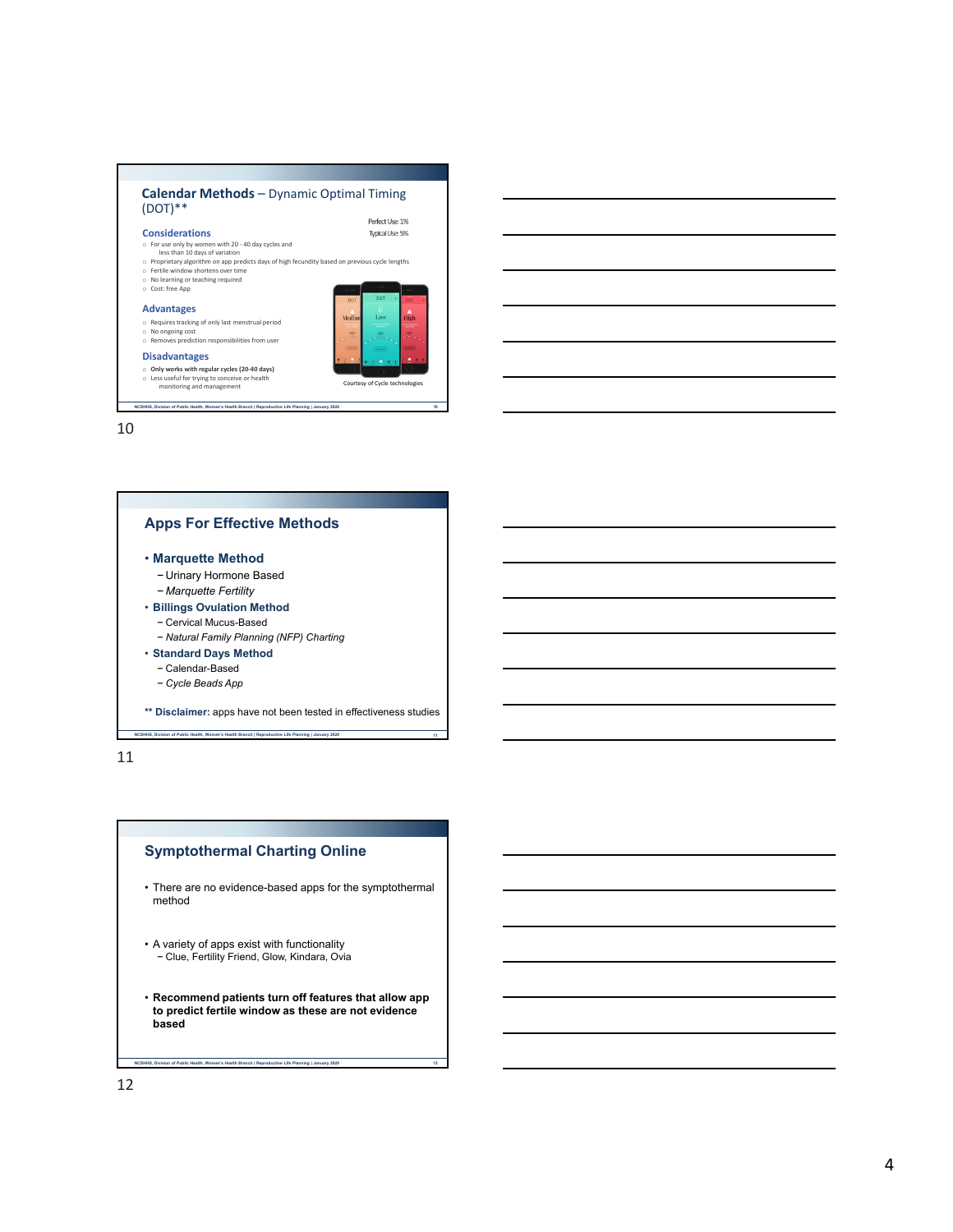



11

## **Symptothermal Charting Online**

- There are no evidence-based apps for the symptothermal method
- A variety of apps exist with functionality − Clue, Fertility Friend, Glow, Kindara, Ovia
- **Recommend patients turn off features that allow app to predict fertile window as these are not evidence based**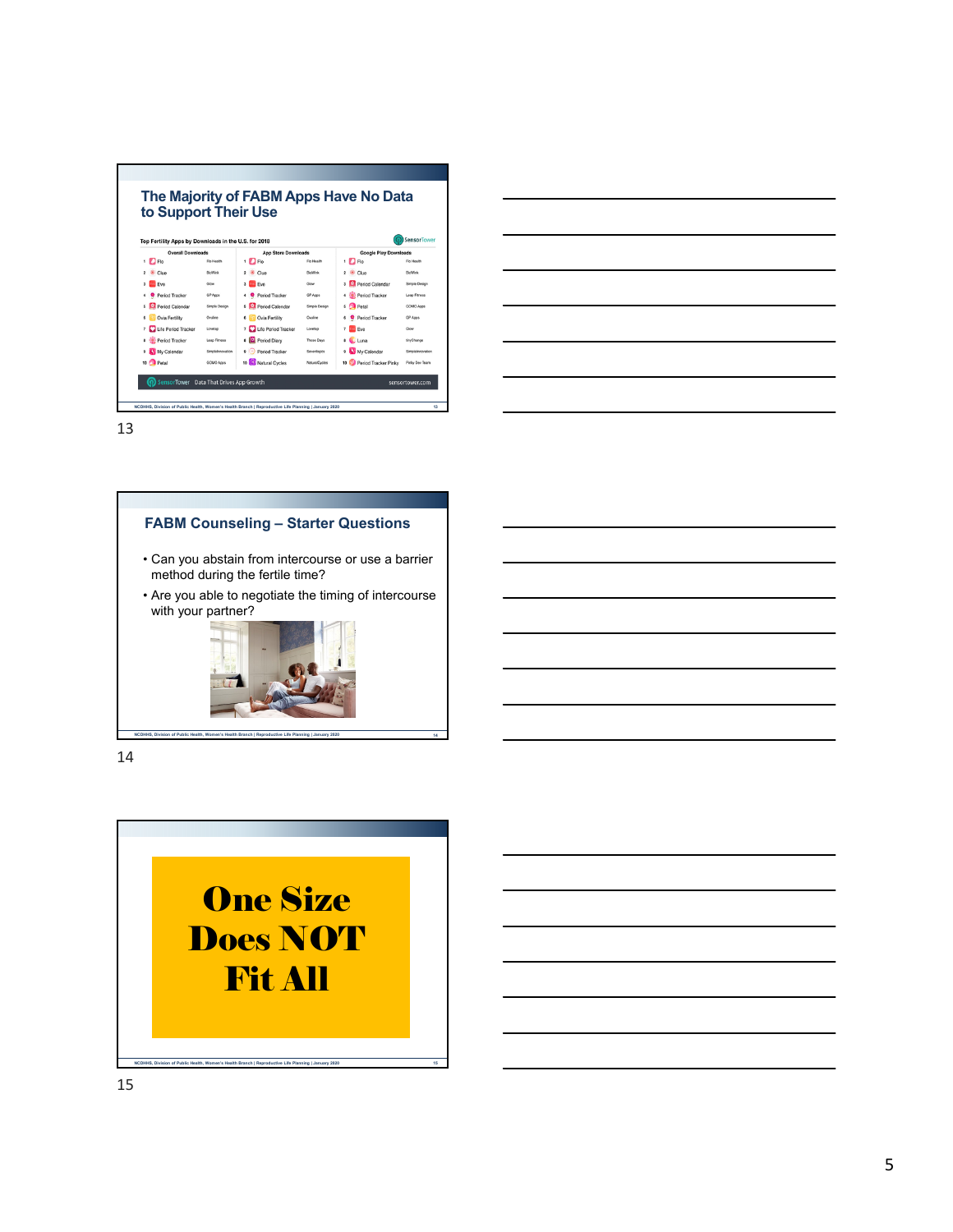|                                                      |                     | to Support Their Use       |                |                                      |                    |
|------------------------------------------------------|---------------------|----------------------------|----------------|--------------------------------------|--------------------|
| Top Fertility Apps by Downloads in the U.S. for 2018 |                     |                            |                |                                      | <b>SensorTower</b> |
| <b>Overall Downloads</b>                             |                     | <b>App Store Downloads</b> |                | <b>Google Play Downloads</b>         |                    |
| $1$ $\Box$ Flo                                       | Fin Health          | $1$ $\Box$ Fig             | Fin Health     | $1$ $\Box$ Flo                       | Fin Health         |
| $\overline{\mathbf{z}}$<br>Clue                      | <b>BioWirk</b>      | Clue                       | <b>RicWink</b> | $\overline{a}$<br>Clue               | <b>BioWink</b>     |
| <b>Fwe</b><br>$\mathbf{r}$                           | Glow                | Eve<br>$\mathbf{\hat{x}}$  | Glove          | Period Calendar<br>3                 | Simple Design      |
| Period Tracker                                       | GP Apps             | Period Tracker             | GP Apps        | Period Tracker<br>4                  | Lean Fitness       |
| Period Calendar<br>s                                 | Simple Design       | S Period Calendar          | Simple Design  | 5<br><b>Petal</b>                    | GOMO Apps          |
| Ovia Fertility<br>e.                                 | Online              | Ovia Fertility<br>c        | Ovuline        | <b>O</b> Period Tracker<br>Ġ         | <b>GP Accs</b>     |
| Life Period Tracker<br>$\overline{7}$                | Loveteo             | 7 Life Period Tracker      | Loyetap        | z.<br><b>Co</b> Eye                  | Glow               |
| Period Tracker<br>8                                  | <b>Lean Fitness</b> | 8 <b>D</b> Period Diary    | Those Days     | 8 C Luna                             | tinyChange         |
| My Calendar<br>٠                                     | SimpleInnovation    | Period Tracker             | Sevenlogics    | My Calendar<br>ğ,                    | SimpleInnovation   |
| 10<br>Petal                                          | GOMO Apps           | 10 (O) Natural Cycles      | NaturalCycles  | 10 <sup>2</sup> Period Tracker Pinky | Pinky Dev Team     |

# **FABM Counseling – Starter Questions** • Can you abstain from intercourse or use a barrier method during the fertile time? • Are you able to negotiate the timing of intercourse with your partner?

**NCDHHS, Division of Public Health, Women's Health Branch | Reproductive Life Planning | January 2020 14**

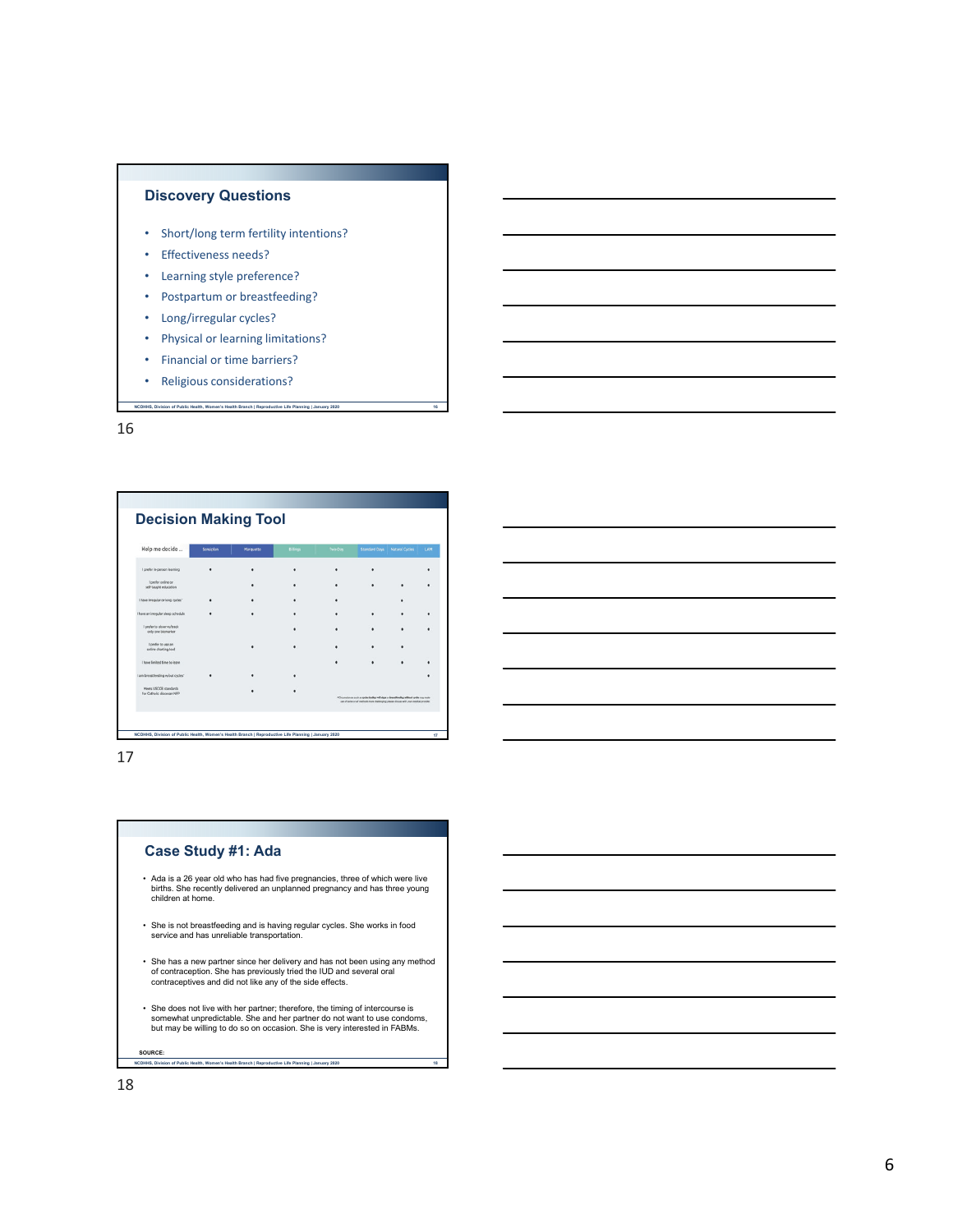

- Short/long term fertility intentions?
- Effectiveness needs?
- Learning style preference?
- Postpartum or breastfeeding?
- Long/irregular cycles?
- Physical or learning limitations?
- Financial or time barriers?
- Religious considerations?

| Help me decide                                     | Sensiplan | Marquette | <b>Bilings</b> | Two-Day | <b>Standard Davs</b>                                                                                                                                                              | <b>Natural Cycles</b> | LAM |
|----------------------------------------------------|-----------|-----------|----------------|---------|-----------------------------------------------------------------------------------------------------------------------------------------------------------------------------------|-----------------------|-----|
| I prefer in-person learning                        |           |           |                |         |                                                                                                                                                                                   |                       | ٠   |
| I prefer online or<br>self-taught education        |           |           |                |         |                                                                                                                                                                                   |                       |     |
| I have irregular or long cycles"                   |           |           |                |         |                                                                                                                                                                                   |                       |     |
| I have an imegular sleep schedule                  |           |           |                |         |                                                                                                                                                                                   |                       |     |
| I prefer to observe/track<br>only one biomarker    |           |           |                |         |                                                                                                                                                                                   |                       |     |
| I prefer to use an<br>online charting tool         |           |           |                |         |                                                                                                                                                                                   |                       |     |
| I have limited time to learn                       |           |           |                |         |                                                                                                                                                                                   |                       |     |
| I am breastfeeding w/out cycles"                   |           |           |                |         |                                                                                                                                                                                   |                       |     |
| Meets USCCB standards<br>for Catholic diocesan NFP |           |           |                |         | ACircumstances such as cycles betteg add does or breastfiending without cycles may make<br>use of some or all methods more challenging please discuss with your medical provider. |                       |     |

**NCDHHS, Division of Public Health, Women's Health Branch | Reproductive Life Planning | January 2020 16**

17

### **Case Study #1: Ada**

- Ada is a 26 year old who has had five pregnancies, three of which were live births. She recently delivered an unplanned pregnancy and has three young children at home.
- She is not breastfeeding and is having regular cycles. She works in food service and has unreliable transportation.
- She has a new partner since her delivery and has not been using any method of contraception. She has previously tried the IUD and several oral contraceptives and did not like any of the side effects.
- ∙ She does not live with her partner; therefore, the timing of intercourse is<br>somewhat unpredictable. She and her partner do not want to use condoms,<br>but may be willing to do so on occasion. She is very interested in FABM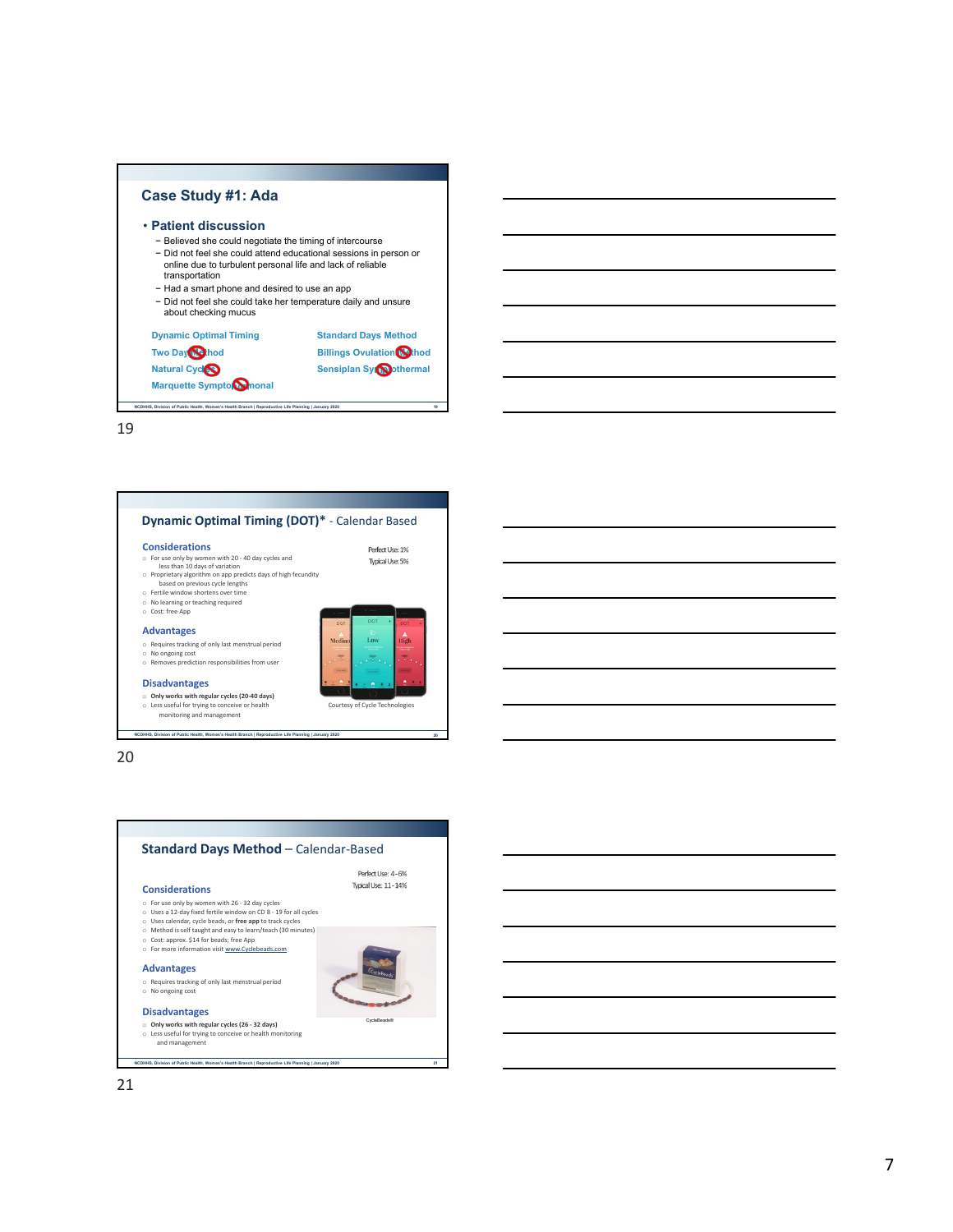



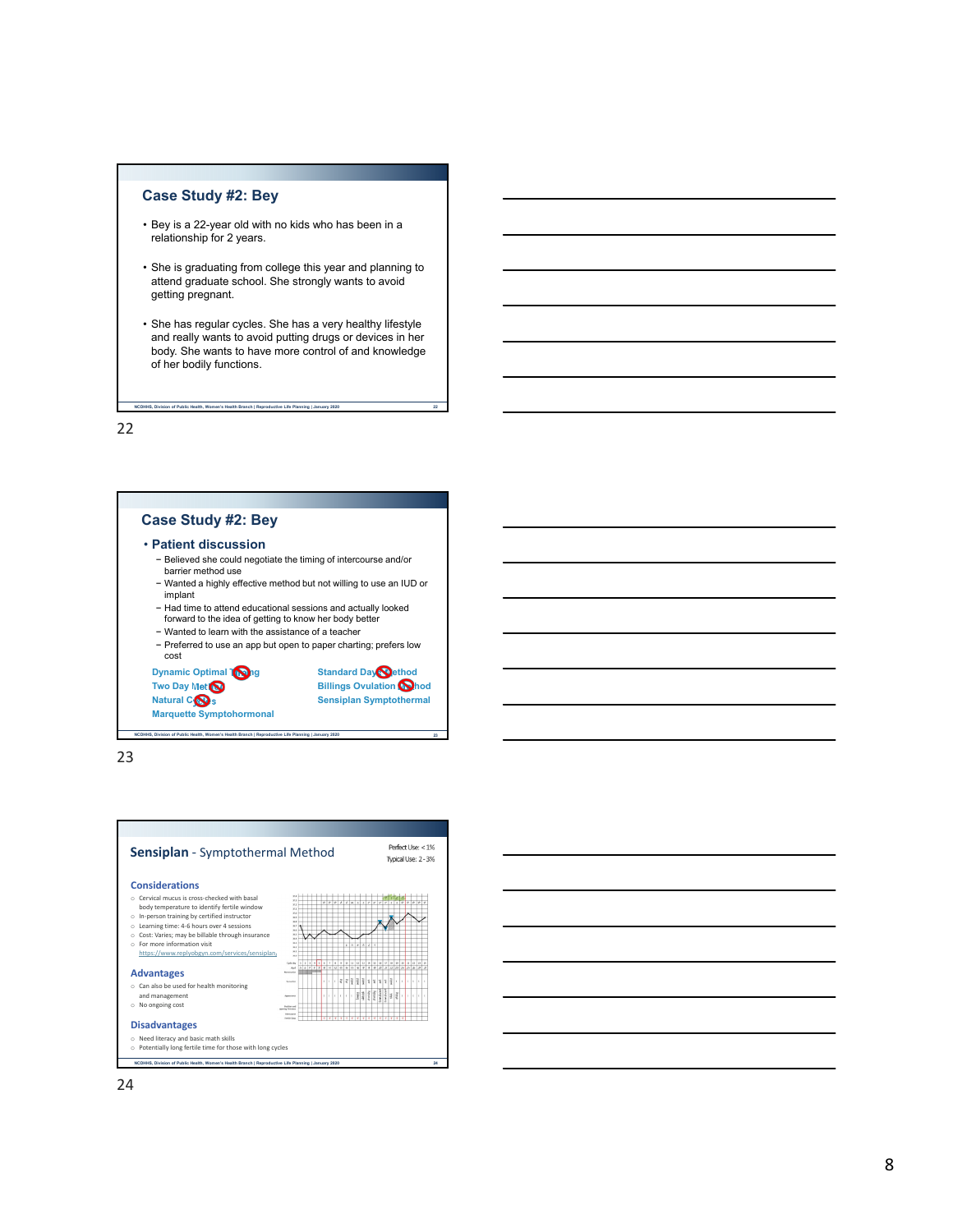#### **Case Study #2: Bey**

- Bey is a 22-year old with no kids who has been in a relationship for 2 years.
- She is graduating from college this year and planning to attend graduate school. She strongly wants to avoid getting pregnant.
- She has regular cycles. She has a very healthy lifestyle and really wants to avoid putting drugs or devices in her body. She wants to have more control of and knowledge of her bodily functions.

**NCDHHS, Division of Public Health, Women's Health Branch | Reproductive Life Planning | January 2020 22**

22

#### **Case Study #2: Bey** • **Patient discussion** − Believed she could negotiate the timing of intercourse and/or barrier method use − Wanted a highly effective method but not willing to use an IUD or implant − Had time to attend educational sessions and actually looked forward to the idea of getting to know her body better − Wanted to learn with the assistance of a teacher − Preferred to use an app but open to paper charting; prefers low

cost

**NCDHHS, Division of Public Health, Women's Health Branch | Reproductive Life Planning | January 2020 23**

**Dynamic Optimal Tong Standard Day Standard Day Two Day Met<sup>M</sup> Billings Ovulation Method Natural COS** Sensiplan Symptothermal **Marquette Symptohormonal**

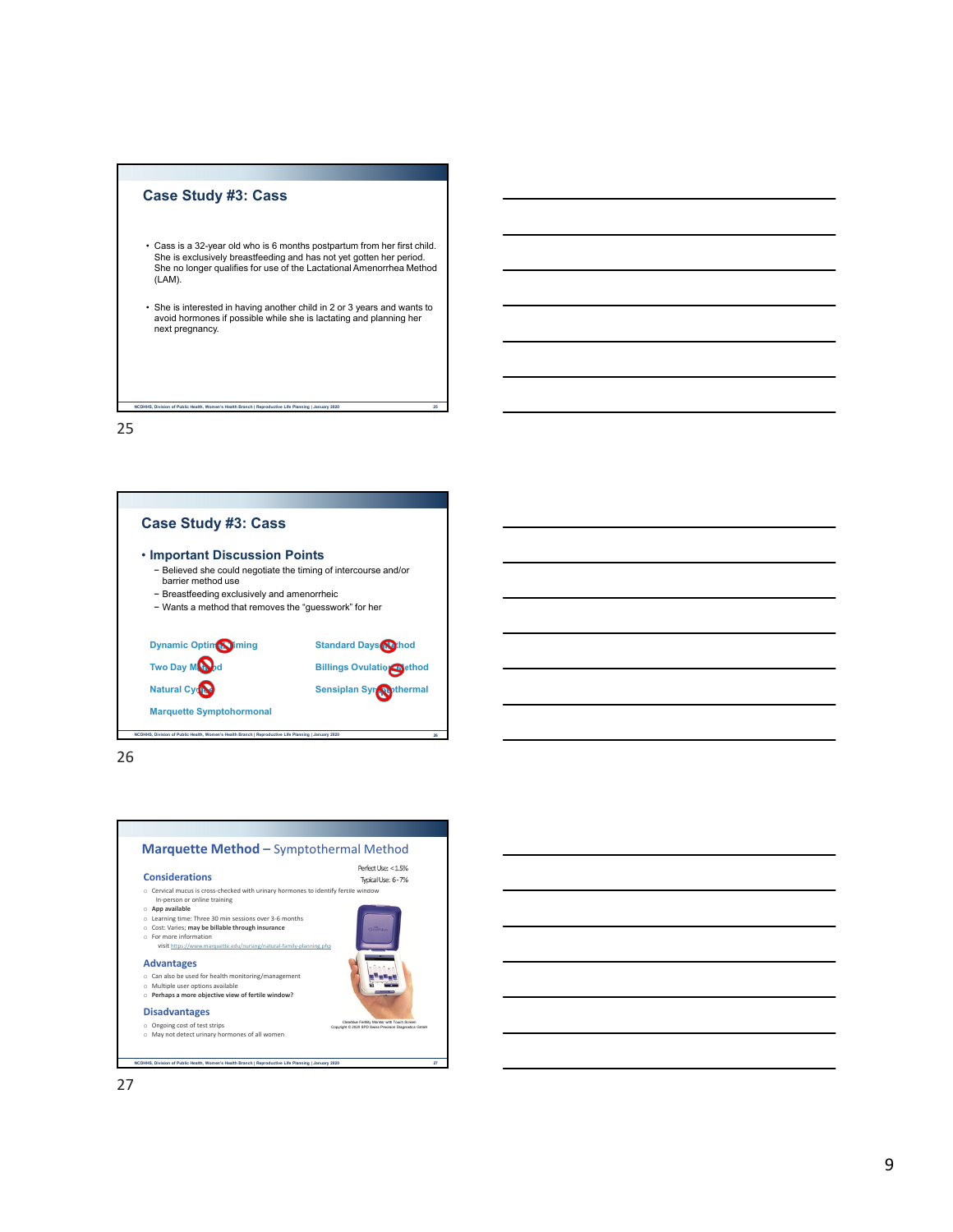

- Cass is a 32-year old who is 6 months postpartum from her first child. She is exclusively breastfeeding and has not yet gotten her period. She no longer qualifies for use of the Lactational Amenorrhea Method (LAM).
- She is interested in having another child in 2 or 3 years and wants to avoid hormones if possible while she is lactating and planning her next pregnancy.

**NCDHHS, Division of Public Health, Women's Health Branch | Reproductive Life Planning | January 2020 25**

25



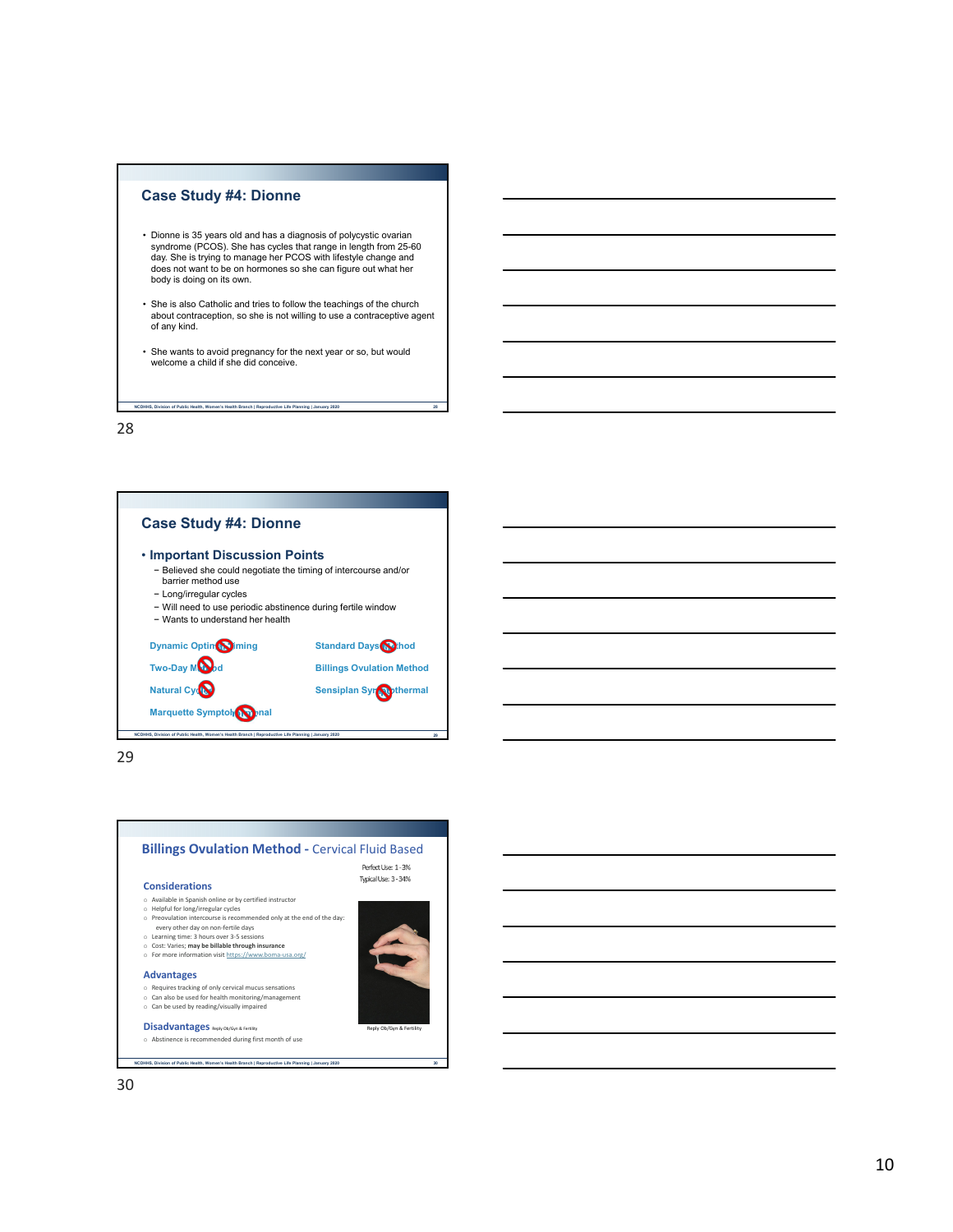#### **Case Study #4: Dionne**

**NCDHHS, Division of Public Health, Women's Health Branch | Reproductive Life Planning | January 2020 28**

- Dionne is 35 years old and has a diagnosis of polycystic ovarian syndrome (PCOS). She has cycles that range in length from 25-60 day. She is trying to manage her PCOS with lifestyle change and does not want to be on hormones so she can figure out what her body is doing on its own.
- She is also Catholic and tries to follow the teachings of the church about contraception, so she is not willing to use a contraceptive agent of any kind.
- She wants to avoid pregnancy for the next year or so, but would welcome a child if she did conceive.

28



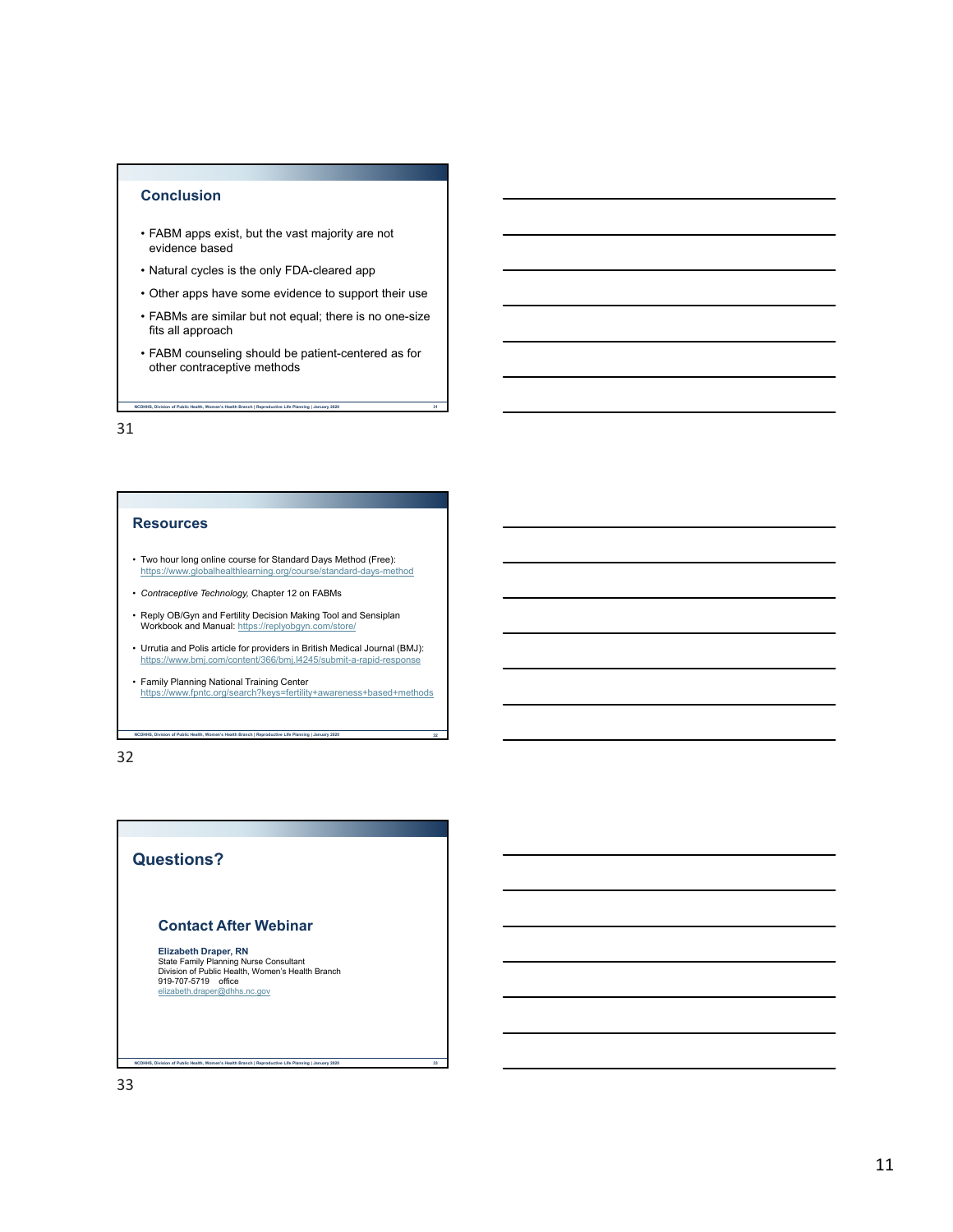## **Conclusion**

- FABM apps exist, but the vast majority are not evidence based
- Natural cycles is the only FDA-cleared app
- Other apps have some evidence to support their use
- FABMs are similar but not equal; there is no one-size fits all approach
- FABM counseling should be patient-centered as for other contraceptive methods

**NCDHHS, Division of Public Health, Women's Health Branch | Reproductive Life Planning | January 2020 31**

31

#### **Resources**

- Two hour long online course for Standard Days Method (Free): https://www.globalhealthlearning.org/course/standard-days-method
- *Contraceptive Technology,* Chapter 12 on FABMs
- Reply OB/Gyn and Fertility Decision Making Tool and Sensiplan Workbook and Manual: https://replyobgyn.com/store/
- Urrutia and Polis article for providers in British Medical Journal (BMJ): https://www.bmj.com/content/366/bmj.l4245/submit-a-rapid-response t/366/bmj.l4245/submit-a-rapid-response
- Family Planning National Training Center https://www.fpntc.org/search?keys=fertility+awareness+based+methods

**NCDHHS, Division of Public Health, Women's Health Branch | Reproductive Life Planning | January 2020 32**

32

# **Questions?**

## **Contact After Webinar**

**Elizabeth Draper, RN**<br>State Family Planning Nurse Consultant<br>Division of Public Health, Women's Health Branch 919-707-5719 office elizabeth.draper@dhhs.nc.gov